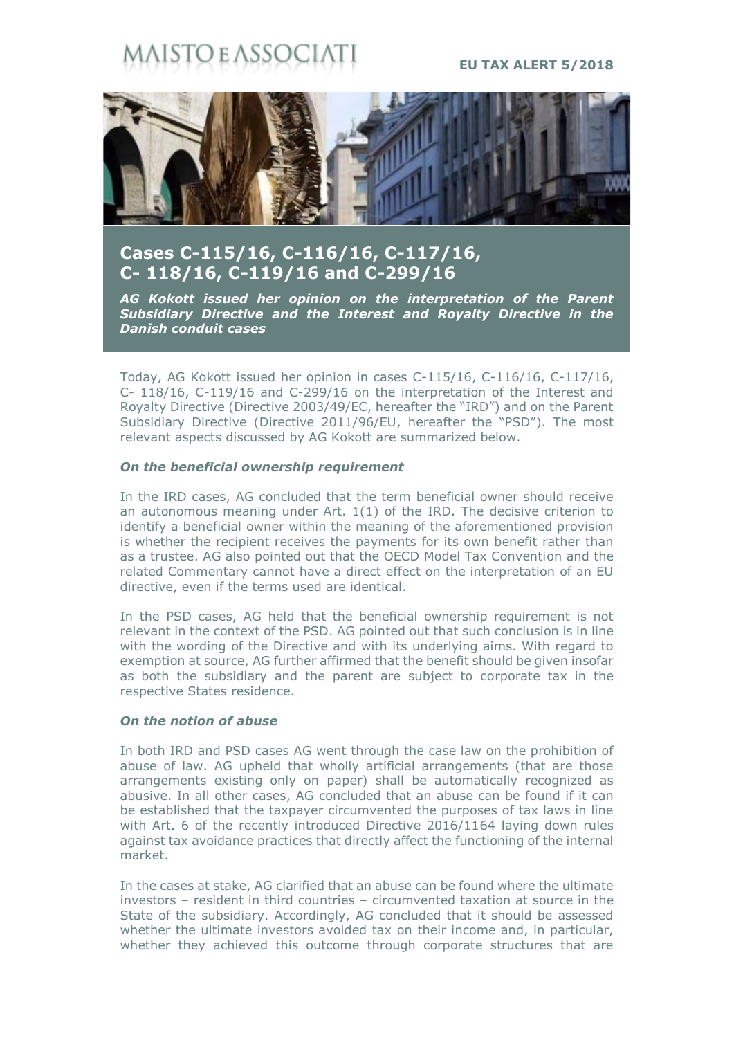# **STO E ASSOCI**

**EU TAX ALERT 5/2018**



## **Cases C-115/16, C-116/16, C-117/16, C- 118/16, C-119/16 and C-299/16**

*AG Kokott issued her opinion on the interpretation of the Parent Subsidiary Directive and the Interest and Royalty Directive in the Danish conduit cases*

Today, AG Kokott issued her opinion in cases C-115/16, C-116/16, C-117/16, C- 118/16, C-119/16 and C-299/16 on the interpretation of the Interest and Royalty Directive (Directive 2003/49/EC, hereafter the "IRD") and on the Parent Subsidiary Directive (Directive 2011/96/EU, hereafter the "PSD"). The most relevant aspects discussed by AG Kokott are summarized below.

#### *On the beneficial ownership requirement*

In the IRD cases, AG concluded that the term beneficial owner should receive an autonomous meaning under Art. 1(1) of the IRD. The decisive criterion to identify a beneficial owner within the meaning of the aforementioned provision is whether the recipient receives the payments for its own benefit rather than as a trustee. AG also pointed out that the OECD Model Tax Convention and the related Commentary cannot have a direct effect on the interpretation of an EU directive, even if the terms used are identical.

In the PSD cases, AG held that the beneficial ownership requirement is not relevant in the context of the PSD. AG pointed out that such conclusion is in line with the wording of the Directive and with its underlying aims. With regard to exemption at source, AG further affirmed that the benefit should be given insofar as both the subsidiary and the parent are subject to corporate tax in the respective States residence.

### *On the notion of abuse*

In both IRD and PSD cases AG went through the case law on the prohibition of abuse of law. AG upheld that wholly artificial arrangements (that are those arrangements existing only on paper) shall be automatically recognized as abusive. In all other cases, AG concluded that an abuse can be found if it can be established that the taxpayer circumvented the purposes of tax laws in line with Art. 6 of the recently introduced Directive 2016/1164 laying down rules against tax avoidance practices that directly affect the functioning of the internal market.

In the cases at stake, AG clarified that an abuse can be found where the ultimate investors – resident in third countries – circumvented taxation at source in the State of the subsidiary. Accordingly, AG concluded that it should be assessed whether the ultimate investors avoided tax on their income and, in particular, whether they achieved this outcome through corporate structures that are